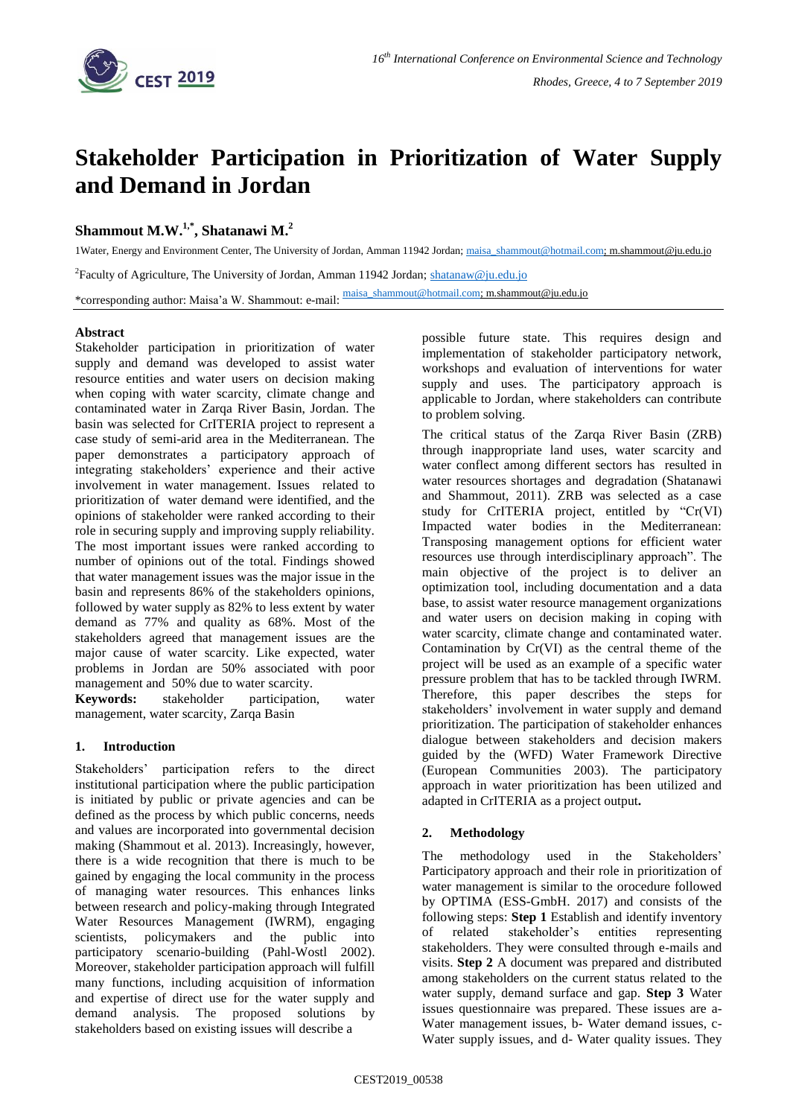

# **Stakeholder Participation in Prioritization of Water Supply and Demand in Jordan**

# **Shammout M.W.1,\* , Shatanawi M.<sup>2</sup>**

1Water, Energy and Environment Center, The University of Jordan, Amman 11942 Jordan[; maisa\\_shammout@hotmail.com;](mailto:maisa_shammout@hotmail.com) m.shammout@ju.edu.jo

<sup>2</sup> Faculty of Agriculture, The University of Jordan, Amman 11942 Jordan; [shatanaw@ju.edu.jo](mailto:shatanaw@ju.edu.jo)

\*corresponding author: Maisa'a W. Shammout: e-mail: [maisa\\_shammout@hotmail.com;](mailto:maisa_shammout@hotmail.com) m.shammout@ju.edu.jo

#### **Abstract**

Stakeholder participation in prioritization of water supply and demand was developed to assist water resource entities and water users on decision making when coping with water scarcity, climate change and contaminated water in Zarqa River Basin, Jordan. The basin was selected for CrITERIA project to represent a case study of semi-arid area in the Mediterranean. The paper demonstrates a participatory approach of integrating stakeholders' experience and their active involvement in water management. Issues related to prioritization of water demand were identified, and the opinions of stakeholder were ranked according to their role in securing supply and improving supply reliability. The most important issues were ranked according to number of opinions out of the total. Findings showed that water management issues was the major issue in the basin and represents 86% of the stakeholders opinions, followed by water supply as 82% to less extent by water demand as 77% and quality as 68%. Most of the stakeholders agreed that management issues are the major cause of water scarcity. Like expected, water problems in Jordan are 50% associated with poor management and 50% due to water scarcity.

**Keywords:** stakeholder participation, water management, water scarcity, Zarqa Basin

## **1. Introduction**

Stakeholders' participation refers to the direct institutional participation where the public participation is initiated by public or private agencies and can be defined as the process by which public concerns, needs and values are incorporated into governmental decision making (Shammout et al. 2013). Increasingly, however, there is a wide recognition that there is much to be gained by engaging the local community in the process of managing water resources. This enhances links between research and policy-making through Integrated Water Resources Management (IWRM), engaging scientists, policymakers and the public into participatory scenario-building (Pahl-Wostl 2002). Moreover, stakeholder participation approach will fulfill many functions, including acquisition of information and expertise of direct use for the water supply and demand analysis. The proposed solutions by stakeholders based on existing issues will describe a

possible future state. This requires design and implementation of stakeholder participatory network, workshops and evaluation of interventions for water supply and uses. The participatory approach is applicable to Jordan, where stakeholders can contribute to problem solving.

The critical status of the Zarqa River Basin (ZRB) through inappropriate land uses, water scarcity and water conflect among different sectors has resulted in water resources shortages and degradation (Shatanawi and Shammout, 2011). ZRB was selected as a case study for CrITERIA project, entitled by "Cr(VI) Impacted water bodies in the Mediterranean: Transposing management options for efficient water resources use through interdisciplinary approach". The main objective of the project is to deliver an optimization tool, including documentation and a data base, to assist water resource management organizations and water users on decision making in coping with water scarcity, climate change and contaminated water. Contamination by  $Cr(VI)$  as the central theme of the project will be used as an example of a specific water pressure problem that has to be tackled through IWRM. Therefore, this paper describes the steps for stakeholders' involvement in water supply and demand prioritization. The participation of stakeholder enhances dialogue between stakeholders and decision makers guided by the (WFD) Water Framework Directive (European Communities 2003). The participatory approach in water prioritization has been utilized and adapted in CrITERIA as a project output**.**

## **2. Methodology**

The methodology used in the Stakeholders' Participatory approach and their role in prioritization of water management is similar to the orocedure followed by OPTIMA (ESS-GmbH. 2017) and consists of the following steps: **Step 1** Establish and identify inventory of related stakeholder's entities representing stakeholders. They were consulted through e-mails and visits. **Step 2** A document was prepared and distributed among stakeholders on the current status related to the water supply, demand surface and gap. **Step 3** Water issues questionnaire was prepared. These issues are a-Water management issues, b- Water demand issues, c-Water supply issues, and d- Water quality issues. They